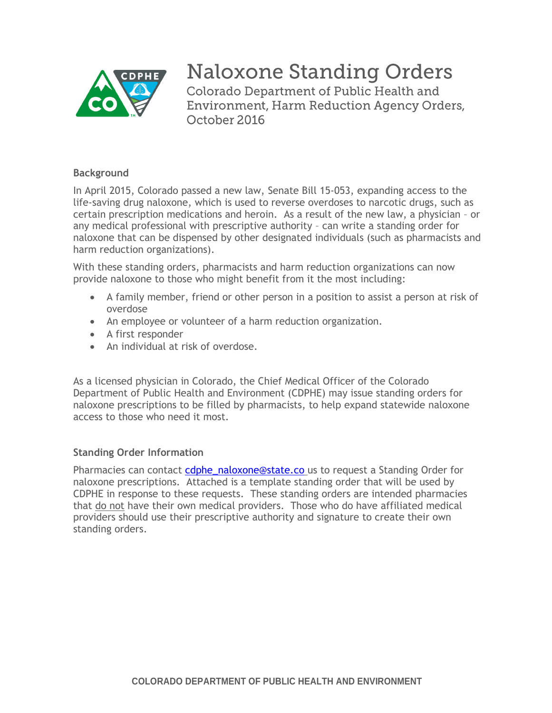

# **Naloxone Standing Orders**

Colorado Department of Public Health and **Environment, Harm Reduction Agency Orders,** October 2016

# **Background**

 In April 2015, Colorado passed a new law, Senate Bill 15-053, expanding access to the life-saving drug naloxone, which is used to reverse overdoses to narcotic drugs, such as certain prescription medications and heroin. As a result of the new law, a physician – or any medical professional with prescriptive authority – can write a standing order for naloxone that can be dispensed by other designated individuals (such as pharmacists and harm reduction organizations).

 With these standing orders, pharmacists and harm reduction organizations can now provide naloxone to those who might benefit from it the most including:

- A family member, friend or other person in a position to assist a person at risk of overdose
- An employee or volunteer of a harm reduction organization.
- A first responder
- An individual at risk of overdose.

 As a licensed physician in Colorado, the Chief Medical Officer of the Colorado Department of Public Health and Environment (CDPHE) may issue standing orders for naloxone prescriptions to be filled by pharmacists, to help expand statewide naloxone access to those who need it most.

# **Standing Order Information**

Pharmacies can contact *cdphe\_naloxone@state.co\_us* to request a Standing Order for naloxone prescriptions. Attached is a template standing order that will be used by CDPHE in response to these requests. These standing orders are intended pharmacies that do not have their own medical providers. Those who do have affiliated medical providers should use their prescriptive authority and signature to create their own standing orders.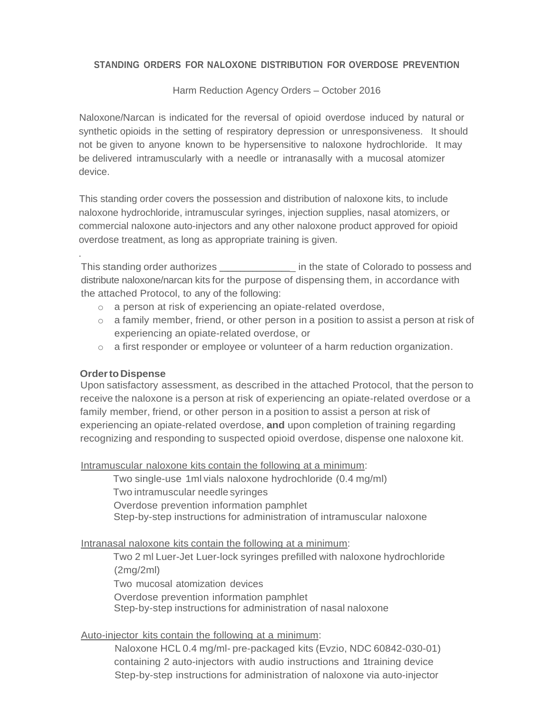#### **STANDING ORDERS FOR NALOXONE DISTRIBUTION FOR OVERDOSE PREVENTION**

Harm Reduction Agency Orders – October 2016

 Naloxone/Narcan is indicated for the reversal of opioid overdose induced by natural or synthetic opioids in the setting of respiratory depression or unresponsiveness. It should not be given to anyone known to be hypersensitive to naloxone hydrochloride. It may be delivered intramuscularly with a needle or intranasally with a mucosal atomizer device.

 naloxone hydrochloride, intramuscular syringes, injection supplies, nasal atomizers, or commercial naloxone auto-injectors and any other naloxone product approved for opioid This standing order covers the possession and distribution of naloxone kits, to include overdose treatment, as long as appropriate training is given.

This standing order authorizes \_\_\_\_\_\_\_\_\_\_\_\_\_\_\_\_ in the state of Colorado to possess and distribute naloxone/narcan kits for the purpose of dispensing them, in accordance with the attached Protocol, to any of the following:

- $\circ$  a person at risk of experiencing an opiate-related overdose,
- $\circ$  a family member, friend, or other person in a position to assist a person at risk of experiencing an opiate-related overdose, or
- o a first responder or employee or volunteer of a harm reduction organization.

#### **Order to Dispense**

.

 Upon satisfactory assessment, as described in the attached Protocol, that the person to receive the naloxone is a person at risk of experiencing an opiate-related overdose or a family member, friend, or other person in a position to assist a person at risk of experiencing an opiate-related overdose, **and** upon completion of training regarding recognizing and responding to suspected opioid overdose, dispense one naloxone kit.

Intramuscular naloxone kits contain the following at a minimum:

 Two single-use 1ml vials naloxone hydrochloride (0.4 mg/ml) Two intramuscular needle syringes Overdose prevention information pamphlet Step-by-step instructions for administration of intramuscular naloxone

Intranasal naloxone kits contain the following at a minimum:

 Two 2 ml Luer-Jet Luer-lock syringes prefilled with naloxone hydrochloride Two mucosal atomization devices Overdose prevention information pamphlet Step-by-step instructions for administration of nasal naloxone (2mg/2ml)

#### Auto-injector kits contain the following at a minimum:

 Naloxone HCL 0.4 mg/ml- pre-packaged kits (Evzio, NDC 60842-030-01) containing 2 auto-injectors with audio instructions and 1training device Step-by-step instructions for administration of naloxone via auto-injector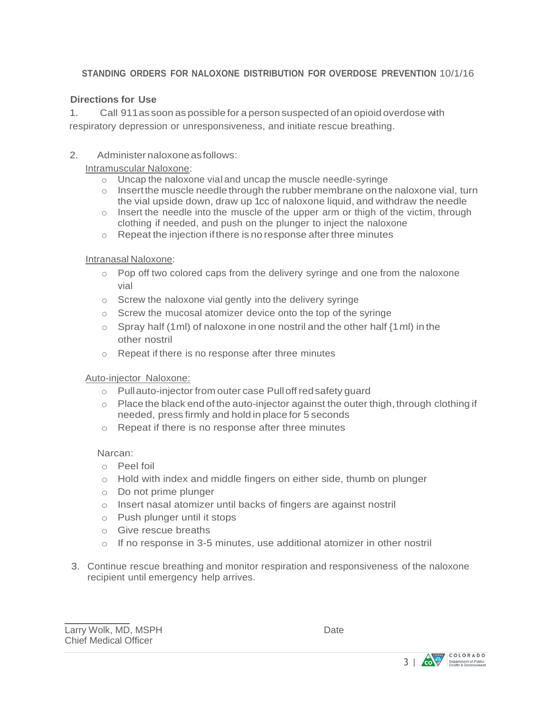# **STANDING ORDERS FOR NALOXONE DISTRIBUTION FOR OVERDOSE PREVENTION** 10/1/16

# **Directions for Use**

 1. Call 911assoon as possible for a person suspected of an opioid overdose with respiratory depression or unresponsiveness, and initiate rescue breathing.

# 2. Administer naloxone as follows:

Intramuscular Naloxone:

- $\circ$  Uncap the naloxone vial and uncap the muscle needle-syringe
- $\circ$  Insertthe muscle needle through the rubber membrane on the naloxone vial, turn the vial upside down, draw up 1cc of naloxone liquid, and withdraw the needle
- $\circ$  Insert the needle into the muscle of the upper arm or thigh of the victim, through clothing if needed, and push on the plunger to inject the naloxone
- $\circ$  Repeat the injection if there is no response after three minutes

# Intranasal Naloxone:

- $\circ$  Pop off two colored caps from the delivery syringe and one from the naloxone vial
- $\circ$  Screw the naloxone vial gently into the delivery syringe
- $\circ$  Screw the mucosal atomizer device onto the top of the syringe
- $\circ$  Spray half (1ml) of naloxone in one nostril and the other half {1 ml) in the other nostril
- $\circ$  Repeat if there is no response after three minutes

#### Auto-injector Naloxone:

- o Pullauto-injector from outer case Pull off red safety guard
- $\circ$  Place the black end of the auto-injector against the outer thigh, through clothing if needed, press firmly and hold in place for 5 seconds
- $\circ$  Repeat if there is no response after three minutes

#### Narcan:

- o Peel foil
- $\circ$  Hold with index and middle fingers on either side, thumb on plunger
- o Do not prime plunger
- $\circ$  Insert nasal atomizer until backs of fingers are against nostril
- o Push plunger until it stops
- o Give rescue breaths
- $\circ$  If no response in 3-5 minutes, use additional atomizer in other nostril
- 3. Continue rescue breathing and monitor respiration and responsiveness of the naloxone recipient until emergency help arrives.

 $\overline{a}$ 

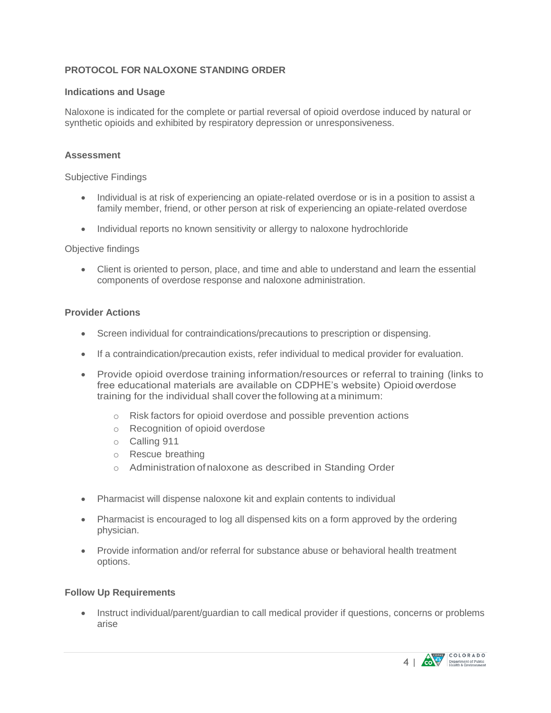# **PROTOCOL FOR NALOXONE STANDING ORDER**

#### **Indications and Usage**

 Naloxone is indicated for the complete or partial reversal of opioid overdose induced by natural or synthetic opioids and exhibited by respiratory depression or unresponsiveness.

#### **Assessment**

Subjective Findings

- Individual is at risk of experiencing an opiate-related overdose or is in a position to assist a family member, friend, or other person at risk of experiencing an opiate-related overdose
- Individual reports no known sensitivity or allergy to naloxone hydrochloride

#### Objective findings

 Client is oriented to person, place, and time and able to understand and learn the essential components of overdose response and naloxone administration.

#### **Provider Actions**

- Screen individual for contraindications/precautions to prescription or dispensing.
- If a contraindication/precaution exists, refer individual to medical provider for evaluation.
- Provide opioid overdose training information/resources or referral to training (links to free educational materials are available on CDPHE's website) Opioid overdose training for the individual shall cover the following at a minimum:
	- $\circ$  Risk factors for opioid overdose and possible prevention actions
	- o Recognition of opioid overdose
	- o Calling 911
	- o Rescue breathing
	- o Administration of naloxone as described in Standing Order
- Pharmacist will dispense naloxone kit and explain contents to individual
- Pharmacist is encouraged to log all dispensed kits on a form approved by the ordering physician.
- Provide information and/or referral for substance abuse or behavioral health treatment options.

#### **Follow Up Requirements**

• Instruct individual/parent/guardian to call medical provider if questions, concerns or problems arise